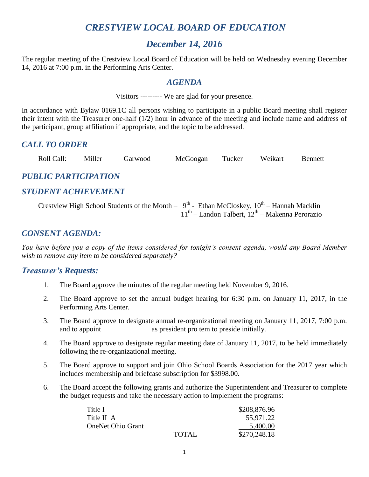# *CRESTVIEW LOCAL BOARD OF EDUCATION*

# *December 14, 2016*

The regular meeting of the Crestview Local Board of Education will be held on Wednesday evening December 14, 2016 at 7:00 p.m. in the Performing Arts Center.

## *AGENDA*

Visitors --------- We are glad for your presence.

In accordance with Bylaw 0169.1C all persons wishing to participate in a public Board meeting shall register their intent with the Treasurer one-half (1/2) hour in advance of the meeting and include name and address of the participant, group affiliation if appropriate, and the topic to be addressed.

## *CALL TO ORDER*

Roll Call: Miller Garwood McGoogan Tucker Weikart Bennett

## *PUBLIC PARTICIPATION*

# *STUDENT ACHIEVEMENT*

Crestview High School Students of the Month –  $9^{th}$  - Ethan McCloskey,  $10^{th}$  – Hannah Macklin  $11<sup>th</sup>$  – Landon Talbert,  $12<sup>th</sup>$  – Makenna Perorazio

# *CONSENT AGENDA:*

*You have before you a copy of the items considered for tonight's consent agenda, would any Board Member wish to remove any item to be considered separately?*

## *Treasurer's Requests:*

- 1. The Board approve the minutes of the regular meeting held November 9, 2016.
- 2. The Board approve to set the annual budget hearing for 6:30 p.m. on January 11, 2017, in the Performing Arts Center.
- 3. The Board approve to designate annual re-organizational meeting on January 11, 2017, 7:00 p.m. and to appoint \_\_\_\_\_\_\_\_\_\_\_\_\_\_ as president pro tem to preside initially.
- 4. The Board approve to designate regular meeting date of January 11, 2017, to be held immediately following the re-organizational meeting.
- 5. The Board approve to support and join Ohio School Boards Association for the 2017 year which includes membership and briefcase subscription for \$3998.00.
- 6. The Board accept the following grants and authorize the Superintendent and Treasurer to complete the budget requests and take the necessary action to implement the programs:

| Title I                  |       | \$208,876.96 |  |
|--------------------------|-------|--------------|--|
| Title II A               |       | 55,971.22    |  |
| <b>OneNet Ohio Grant</b> |       | 5,400.00     |  |
|                          | TOTAL | \$270,248.18 |  |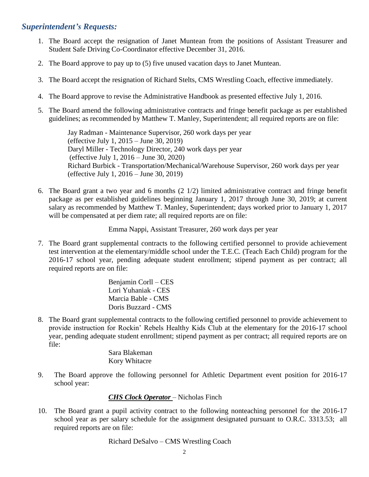## *Superintendent's Requests:*

- 1. The Board accept the resignation of Janet Muntean from the positions of Assistant Treasurer and Student Safe Driving Co-Coordinator effective December 31, 2016.
- 2. The Board approve to pay up to (5) five unused vacation days to Janet Muntean.
- 3. The Board accept the resignation of Richard Stelts, CMS Wrestling Coach, effective immediately.
- 4. The Board approve to revise the Administrative Handbook as presented effective July 1, 2016.
- 5. The Board amend the following administrative contracts and fringe benefit package as per established guidelines; as recommended by Matthew T. Manley, Superintendent; all required reports are on file:

Jay Radman - Maintenance Supervisor, 260 work days per year (effective July 1, 2015 – June 30, 2019) Daryl Miller - Technology Director, 240 work days per year (effective July 1, 2016 – June 30, 2020) Richard Burbick - Transportation/Mechanical/Warehouse Supervisor, 260 work days per year (effective July 1, 2016 – June 30, 2019)

6. The Board grant a two year and 6 months (2 1/2) limited administrative contract and fringe benefit package as per established guidelines beginning January 1, 2017 through June 30, 2019; at current salary as recommended by Matthew T. Manley, Superintendent; days worked prior to January 1, 2017 will be compensated at per diem rate; all required reports are on file:

Emma Nappi, Assistant Treasurer, 260 work days per year

7. The Board grant supplemental contracts to the following certified personnel to provide achievement test intervention at the elementary/middle school under the T.E.C. (Teach Each Child) program for the 2016-17 school year, pending adequate student enrollment; stipend payment as per contract; all required reports are on file:

> Benjamin Corll – CES Lori Yuhaniak - CES Marcia Bable - CMS Doris Buzzard - CMS

8. The Board grant supplemental contracts to the following certified personnel to provide achievement to provide instruction for Rockin' Rebels Healthy Kids Club at the elementary for the 2016-17 school year, pending adequate student enrollment; stipend payment as per contract; all required reports are on file:

> Sara Blakeman Kory Whitacre

9. The Board approve the following personnel for Athletic Department event position for 2016-17 school year:

#### *CHS Clock Operator* – Nicholas Finch

10. The Board grant a pupil activity contract to the following nonteaching personnel for the 2016-17 school year as per salary schedule for the assignment designated pursuant to O.R.C. 3313.53; all required reports are on file:

#### Richard DeSalvo – CMS Wrestling Coach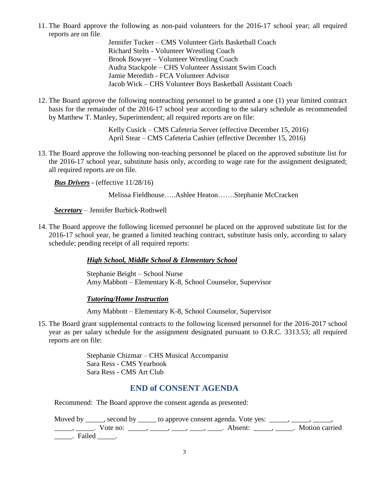11. The Board approve the following as non-paid volunteers for the 2016-17 school year; all required reports are on file.

Jennifer Tucker – CMS Volunteer Girls Basketball Coach Richard Stelts - Volunteer Wrestling Coach Brook Bowyer – Volunteer Wrestling Coach Audra Stackpole – CHS Volunteer Assistant Swim Coach Jamie Meredith - FCA Volunteer Advisor Jacob Wick – CHS Volunteer Boys Basketball Assistant Coach

12. The Board approve the following nonteaching personnel to be granted a one (1) year limited contract basis for the remainder of the 2016-17 school year according to the salary schedule as recommended by Matthew T. Manley, Superintendent; all required reports are on file:

> Kelly Cusick – CMS Cafeteria Server (effective December 15, 2016) April Stear – CMS Cafeteria Cashier (effective December 15, 2016)

13. The Board approve the following non-teaching personnel be placed on the approved substitute list for the 2016-17 school year, substitute basis only, according to wage rate for the assignment designated; all required reports are on file.

*Bus Drivers -* (effective 11/28/16)

Melissa Fieldhouse…..Ashlee Heaton…….Stephanie McCracken

*Secretary* – Jennifer Burbick-Rothwell

14. The Board approve the following licensed personnel be placed on the approved substitute list for the 2016-17 school year, be granted a limited teaching contract, substitute basis only, according to salary schedule; pending receipt of all required reports:

#### *High School, Middle School & Elementary School*

Stephanie Beight – School Nurse Amy Mabbott – Elementary K-8, School Counselor, Supervisor

#### *Tutoring/Home Instruction*

Amy Mabbott – Elementary K-8, School Counselor, Supervisor

15. The Board grant supplemental contracts to the following licensed personnel for the 2016-2017 school year as per salary schedule for the assignment designated pursuant to O.R.C. 3313.53; all required reports are on file:

> Stephanie Chizmar – CHS Musical Accompanist Sara Ress - CMS Yearbook Sara Ress - CMS Art Club

## **END of CONSENT AGENDA**

Recommend: The Board approve the consent agenda as presented:

|        |          | Moved by _____, second by _____ to approve consent agenda. Vote yes: $\_\_\_\_\_\_\_\_\_\_\_\_\_\_\_\_\_\_\_\_$ |                  |
|--------|----------|-----------------------------------------------------------------------------------------------------------------|------------------|
|        | Vote no: | Absent:<br>$\qquad \qquad , \qquad \qquad , \qquad \qquad , \qquad \qquad , \qquad \qquad , \qquad \qquad .$    | . Motion carried |
| Failed |          |                                                                                                                 |                  |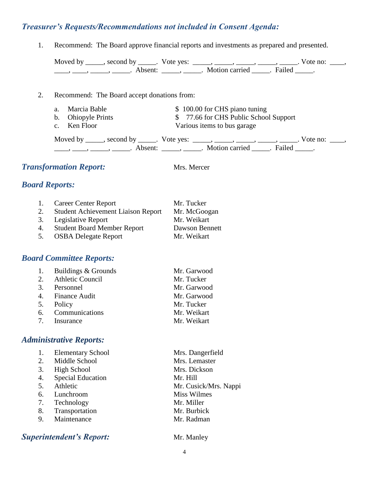# *Treasurer's Requests/Recommendations not included in Consent Agenda:*

1. Recommend: The Board approve financial reports and investments as prepared and presented.

|                       |                                              | Moved by _____, second by _____. Vote yes: _____, _____, _____, _____, _____. Vote no: ____,<br>$\frac{1}{1}, \frac{1}{1}, \frac{1}{1}, \frac{1}{1}, \frac{1}{1}, \frac{1}{1}, \frac{1}{1}, \frac{1}{1}, \frac{1}{1}, \frac{1}{1}, \frac{1}{1}, \frac{1}{1}, \frac{1}{1}, \frac{1}{1}, \frac{1}{1}, \frac{1}{1}, \frac{1}{1}, \frac{1}{1}, \frac{1}{1}, \frac{1}{1}, \frac{1}{1}, \frac{1}{1}, \frac{1}{1}, \frac{1}{1}, \frac{1}{1}, \frac{1}{1}, \frac{1}{1}, \frac{1}{1}, \frac{1}{1}, \frac{1}{1}, \frac{1}{1}, \frac{$      |  |  |
|-----------------------|----------------------------------------------|----------------------------------------------------------------------------------------------------------------------------------------------------------------------------------------------------------------------------------------------------------------------------------------------------------------------------------------------------------------------------------------------------------------------------------------------------------------------------------------------------------------------------------|--|--|
| 2.                    | Recommend: The Board accept donations from:  |                                                                                                                                                                                                                                                                                                                                                                                                                                                                                                                                  |  |  |
|                       | Marcia Bable<br>a.                           | \$100.00 for CHS piano tuning                                                                                                                                                                                                                                                                                                                                                                                                                                                                                                    |  |  |
|                       | <b>Ohiopyle Prints</b><br>$\mathbf{b}$ .     | \$77.66 for CHS Public School Support                                                                                                                                                                                                                                                                                                                                                                                                                                                                                            |  |  |
|                       | Ken Floor<br>$\mathbf{c}$ .                  | Various items to bus garage                                                                                                                                                                                                                                                                                                                                                                                                                                                                                                      |  |  |
|                       |                                              | Moved by ______, second by ______. Vote yes: _____, _____, _____, ______, ______. Vote no: _____,<br>$\frac{1}{1}, \frac{1}{1}, \frac{1}{1}, \frac{1}{1}, \frac{1}{1}, \frac{1}{1}, \frac{1}{1}, \frac{1}{1}, \frac{1}{1}, \frac{1}{1}, \frac{1}{1}, \frac{1}{1}, \frac{1}{1}, \frac{1}{1}, \frac{1}{1}, \frac{1}{1}, \frac{1}{1}, \frac{1}{1}, \frac{1}{1}, \frac{1}{1}, \frac{1}{1}, \frac{1}{1}, \frac{1}{1}, \frac{1}{1}, \frac{1}{1}, \frac{1}{1}, \frac{1}{1}, \frac{1}{1}, \frac{1}{1}, \frac{1}{1}, \frac{1}{1}, \frac{$ |  |  |
|                       | <b>Transformation Report:</b><br>Mrs. Mercer |                                                                                                                                                                                                                                                                                                                                                                                                                                                                                                                                  |  |  |
| <b>Board Reports:</b> |                                              |                                                                                                                                                                                                                                                                                                                                                                                                                                                                                                                                  |  |  |

|    | 1. Career Center Report               | Mr. Tucker     |
|----|---------------------------------------|----------------|
|    | 2. Student Achievement Liaison Report | Mr. McGoogan   |
|    | 3. Legislative Report                 | Mr. Weikart    |
| 4. | <b>Student Board Member Report</b>    | Dawson Bennett |
|    | 5. OSBA Delegate Report               | Mr. Weikart    |

# *Board Committee Reports:*

|   | 1. Buildings $&$ Grounds | Mr. Garwood |
|---|--------------------------|-------------|
|   | 2. Athletic Council      | Mr. Tucker  |
|   | 3. Personnel             | Mr. Garwood |
|   | 4. Finance Audit         | Mr. Garwood |
|   | 5. Policy                | Mr. Tucker  |
|   | 6. Communications        | Mr. Weikart |
| 7 | Insurance                | Mr. Weikart |

# *Administrative Reports:*

|    | <b>Elementary School</b> | Mrs. Dangerfield      |
|----|--------------------------|-----------------------|
| 2. | Middle School            | Mrs. Lemaster         |
| 3. | High School              | Mrs. Dickson          |
| 4. | <b>Special Education</b> | Mr. Hill              |
| 5. | Athletic                 | Mr. Cusick/Mrs. Nappi |
| 6. | Lunchroom                | <b>Miss Wilmes</b>    |
| 7. | Technology               | Mr. Miller            |
| 8. | Transportation           | Mr. Burbick           |
| 9. | Maintenance              | Mr. Radman            |
|    |                          |                       |

# **Superintendent's Report:** Mr. Manley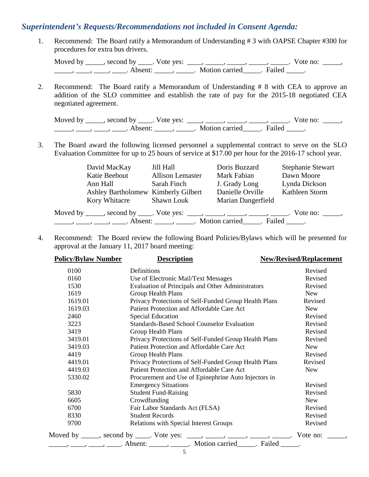## *Superintendent's Requests/Recommendations not included in Consent Agenda:*

1. Recommend: The Board ratify a Memorandum of Understanding # 3 with OAPSE Chapter #300 for procedures for extra bus drivers.

Moved by \_\_\_\_\_, second by \_\_\_\_\_. Vote yes:  $\frac{1}{\sqrt{2}}$ , \_\_\_\_, \_\_\_\_\_, \_\_\_\_\_, \_\_\_\_\_. Vote no: \_\_\_\_\_, \_\_\_\_\_\_, \_\_\_\_\_, \_\_\_\_\_. Absent: \_\_\_\_\_\_, \_\_\_\_\_\_. Motion carried \_\_\_\_\_. Failed \_\_\_\_\_.

2. Recommend: The Board ratify a Memorandum of Understanding # 8 with CEA to approve an addition of the SLO committee and establish the rate of pay for the 2015-18 negotiated CEA negotiated agreement.

Moved by \_\_\_\_\_, second by \_\_\_\_\_. Vote yes:  $\frac{1}{\sqrt{2}}$ , \_\_\_\_, \_\_\_\_\_, \_\_\_\_\_, \_\_\_\_\_. Vote no: \_\_\_\_\_, \_\_\_\_\_\_, \_\_\_\_\_, \_\_\_\_\_. Absent: \_\_\_\_\_\_, \_\_\_\_\_\_. Motion carried \_\_\_\_\_. Failed \_\_\_\_\_.

3. The Board award the following licensed personnel a supplemental contract to serve on the SLO Evaluation Committee for up to 25 hours of service at \$17.00 per hour for the 2016-17 school year.

| David MacKay<br>Katie Beebout       | Jill Hall<br><b>Allison Lemaster</b>                                          | Doris Buzzard<br>Mark Fabian | <b>Stephanie Stewart</b><br>Dawn Moore |
|-------------------------------------|-------------------------------------------------------------------------------|------------------------------|----------------------------------------|
| Ann Hall                            | Sarah Finch                                                                   | J. Grady Long                | Lynda Dickson                          |
| Ashley Bartholomew Kimberly Gilbert |                                                                               | Danielle Orville             | Kathleen Storm                         |
| Kory Whitacre Shawn Louk            |                                                                               | Marian Dangerfield           |                                        |
|                                     | Moved by _____, second by _____. Vote yes: _____, _____, _____, _____, ______ |                              | Vote no: $\qquad \qquad$ ,             |
|                                     |                                                                               |                              |                                        |

4. Recommend: The Board review the following Board Policies/Bylaws which will be presented for approval at the January 11, 2017 board meeting:

| <b>Policy/Bylaw Number</b> | <b>Description</b>                                                                    | <b>New/Revised/Replacement</b> |
|----------------------------|---------------------------------------------------------------------------------------|--------------------------------|
| 0100                       | Definitions                                                                           | Revised                        |
| 0160                       | Use of Electronic Mail/Text Messages                                                  | Revised                        |
| 1530                       | <b>Evaluation of Principals and Other Administrators</b>                              | Revised                        |
| 1619                       | Group Health Plans                                                                    | New                            |
| 1619.01                    | Privacy Protections of Self-Funded Group Health Plans                                 | Revised                        |
| 1619.03                    | Patient Protection and Affordable Care Act                                            | <b>New</b>                     |
| 2460                       | <b>Special Education</b>                                                              | Revised                        |
| 3223                       | <b>Standards-Based School Counselor Evaluation</b>                                    | Revised                        |
| 3419                       | Group Health Plans                                                                    | Revised                        |
| 3419.01                    | Privacy Protections of Self-Funded Group Health Plans                                 | Revised                        |
| 3419.03                    | Patient Protection and Affordable Care Act                                            | <b>New</b>                     |
| 4419                       | <b>Group Health Plans</b>                                                             | Revised                        |
| 4419.01                    | Privacy Protections of Self-Funded Group Health Plans                                 | Revised                        |
| 4419.03                    | Patient Protection and Affordable Care Act                                            | New                            |
| 5330.02                    | Procurement and Use of Epinephrine Auto Injectors in                                  |                                |
|                            | <b>Emergency Situations</b>                                                           | Revised                        |
| 5830                       | <b>Student Fund-Raising</b>                                                           | Revised                        |
| 6605                       | Crowdfunding                                                                          | <b>New</b>                     |
| 6700                       | Fair Labor Standards Act (FLSA)                                                       | Revised                        |
| 8330                       | <b>Student Records</b>                                                                | Revised                        |
| 9700                       | Relations with Special Interest Groups                                                | Revised                        |
|                            | Moved by _____, second by _____. Vote yes: ____, _____, _____, _____, _____. Vote no: |                                |
|                            |                                                                                       |                                |